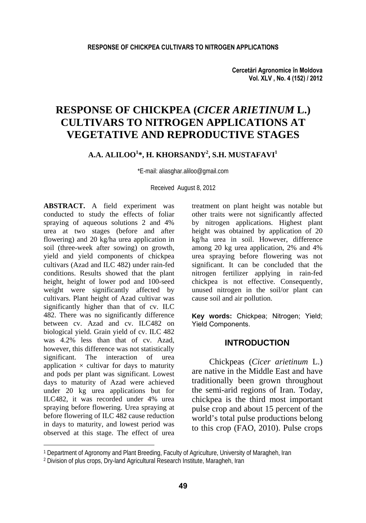**Cercetări Agronomice în Moldova Vol. XLV , No. 4 (152) / 2012** 

# **RESPONSE OF CHICKPEA (***CICER ARIETINUM* **L.) CULTIVARS TO NITROGEN APPLICATIONS AT VEGETATIVE AND REPRODUCTIVE STAGES**

# **A.A. ALILOO1 \*, H. KHORSANDY2 , S.H. MUSTAFAVI1**

\*E-mail: aliasghar.aliloo@gmail.com

Received August 8, 2012

**ABSTRACT.** A field experiment was conducted to study the effects of foliar spraying of aqueous solutions 2 and 4% urea at two stages (before and after flowering) and 20 kg/ha urea application in soil (three-week after sowing) on growth, yield and yield components of chickpea cultivars (Azad and ILC 482) under rain-fed conditions. Results showed that the plant height, height of lower pod and 100-seed weight were significantly affected by cultivars. Plant height of Azad cultivar was significantly higher than that of cv. ILC 482. There was no significantly difference between cv. Azad and cv. ILC482 on biological yield. Grain yield of cv. ILC 482 was 4.2% less than that of cv. Azad, however, this difference was not statistically significant. The interaction of urea application  $\times$  cultivar for days to maturity and pods per plant was significant. Lowest days to maturity of Azad were achieved under 20 kg urea applications but for ILC482, it was recorded under 4% urea spraying before flowering. Urea spraying at before flowering of ILC 482 cause reduction in days to maturity, and lowest period was observed at this stage. The effect of urea

l

treatment on plant height was notable but other traits were not significantly affected by nitrogen applications. Highest plant height was obtained by application of 20 kg/ha urea in soil. However, difference among 20 kg urea application, 2% and 4% urea spraying before flowering was not significant. It can be concluded that the nitrogen fertilizer applying in rain-fed chickpea is not effective. Consequently, unused nitrogen in the soil/or plant can cause soil and air pollution.

**Key words:** Chickpea; Nitrogen; Yield; Yield Components.

### **INTRODUCTION**

Chickpeas (*Cicer arietinum* L.) are native in the Middle East and have traditionally been grown throughout the semi-arid regions of Iran. Today, chickpea is the third most important pulse crop and about 15 percent of the world's total pulse productions belong to this crop (FAO, 2010). Pulse crops

<sup>1</sup> Department of Agronomy and Plant Breeding, Faculty of Agriculture, University of Maragheh, Iran

<sup>2</sup> Division of plus crops, Dry-land Agricultural Research Institute, Maragheh, Iran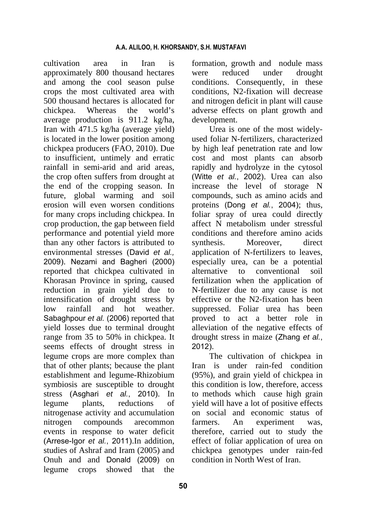cultivation area in Iran is approximately 800 thousand hectares and among the cool season pulse crops the most cultivated area with 500 thousand hectares is allocated for chickpea. Whereas the world's average production is 911.2 kg/ha, Iran with 471.5 kg/ha (average yield) is located in the lower position among chickpea producers (FAO, 2010). Due to insufficient, untimely and erratic rainfall in semi-arid and arid areas, the crop often suffers from drought at the end of the cropping season. In future, global warming and soil erosion will even worsen conditions for many crops including chickpea. In crop production, the gap between field performance and potential yield more than any other factors is attributed to environmental stresses (David *et al.,* 2009). Nezami and Bagheri (2000) reported that chickpea cultivated in Khorasan Province in spring, caused reduction in grain yield due to intensification of drought stress by low rainfall and hot weather. Sabaghpour *et al.* (2006) reported that yield losses due to terminal drought range from 35 to 50% in chickpea. It seems effects of drought stress in legume crops are more complex than that of other plants; because the plant establishment and legume-Rhizobium symbiosis are susceptible to drought stress (Asghari *et al.*, 2010). In legume plants, reductions of nitrogenase activity and accumulation nitrogen compounds arecommon events in response to water deficit (Arrese-Igor *et al.*, 2011).In addition, studies of Ashraf and Iram (2005) and Onuh and and Donald (2009) on legume crops showed that the

formation, growth and nodule mass were reduced under drought conditions. Consequently, in these conditions, N2-fixation will decrease and nitrogen deficit in plant will cause adverse effects on plant growth and development.

Urea is one of the most widelyused foliar N-fertilizers, characterized by high leaf penetration rate and low cost and most plants can absorb rapidly and hydrolyze in the cytosol (Witte *et al.*, 2002). Urea can also increase the level of storage N compounds, such as amino acids and proteins (Dong *et al.*, 2004); thus, foliar spray of urea could directly affect N metabolism under stressful conditions and therefore amino acids synthesis. Moreover, direct application of N-fertilizers to leaves, especially urea, can be a potential alternative to conventional soil fertilization when the application of N-fertilizer due to any cause is not effective or the N2-fixation has been suppressed. Foliar urea has been proved to act a better role in alleviation of the negative effects of drought stress in maize (Zhang *et al.*, 2012).

The cultivation of chickpea in Iran is under rain-fed condition (95%), and grain yield of chickpea in this condition is low, therefore, access to methods which cause high grain yield will have a lot of positive effects on social and economic status of farmers. An experiment was, therefore, carried out to study the effect of foliar application of urea on chickpea genotypes under rain-fed condition in North West of Iran.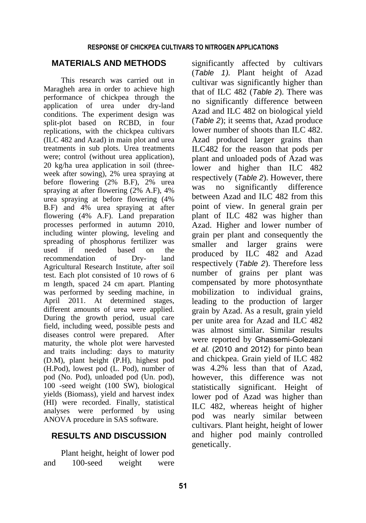# **MATERIALS AND METHODS**

This research was carried out in Maragheh area in order to achieve high performance of chickpea through the application of urea under dry-land conditions. The experiment design was split-plot based on RCBD, in four replications, with the chickpea cultivars (ILC 482 and Azad) in main plot and urea treatments in sub plots. Urea treatments were; control (without urea application), 20 kg/ha urea application in soil (threeweek after sowing), 2% urea spraying at before flowering (2% B.F), 2% urea spraying at after flowering (2% A.F), 4% urea spraying at before flowering (4% B.F) and 4% urea spraying at after flowering (4% A.F). Land preparation processes performed in autumn 2010, including winter plowing, leveling and spreading of phosphorus fertilizer was used if needed based on the recommendation of Dry- land Agricultural Research Institute, after soil test. Each plot consisted of 10 rows of 6 m length, spaced 24 cm apart. Planting was performed by seeding machine, in April 2011. At determined stages, different amounts of urea were applied. During the growth period, usual care field, including weed, possible pests and diseases control were prepared. After maturity, the whole plot were harvested and traits including: days to maturity (D.M), plant height (P.H), highest pod (H.Pod), lowest pod (L. Pod), number of pod (No. Pod), unloaded pod (Un. pod), 100 -seed weight (100 SW), biological yields (Biomass), yield and harvest index (HI) were recorded. Finally, statistical analyses were performed by using ANOVA procedure in SAS software.

# **RESULTS AND DISCUSSION**

Plant height, height of lower pod and 100-seed weight were significantly affected by cultivars (*Table 1).* Plant height of Azad cultivar was significantly higher than that of ILC 482 (*Table 2*). There was no significantly difference between Azad and ILC 482 on biological yield (*Table 2*); it seems that, Azad produce lower number of shoots than ILC 482. Azad produced larger grains than ILC482 for the reason that pods per plant and unloaded pods of Azad was lower and higher than ILC 482 respectively (*Table 2*). However, there was no significantly difference between Azad and ILC 482 from this point of view. In general grain per plant of ILC 482 was higher than Azad. Higher and lower number of grain per plant and consequently the smaller and larger grains were produced by ILC 482 and Azad respectively (*Table 2*). Therefore less number of grains per plant was compensated by more photosynthate mobilization to individual grains, leading to the production of larger grain by Azad. As a result, grain yield per unite area for Azad and ILC 482 was almost similar. Similar results were reported by Ghassemi-Golezani *et al.* (2010 and 2012) for pinto bean and chickpea. Grain yield of ILC 482 was 4.2% less than that of Azad, however, this difference was not statistically significant. Height of lower pod of Azad was higher than ILC 482, whereas height of higher pod was nearly similar between cultivars. Plant height, height of lower and higher pod mainly controlled genetically.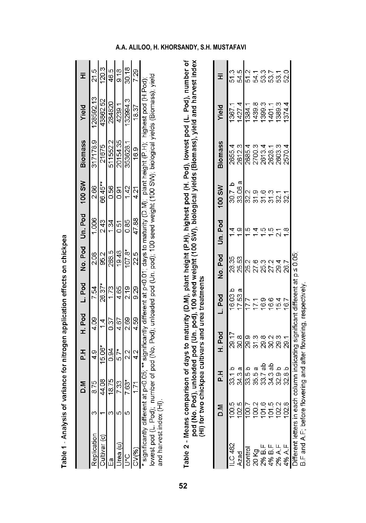|                       | M.Q               | 곣      | H. Pod        | L. Pod | No. Pod  | Un. Pod           | <b>100 SW</b> | <b>Biomass</b> | Yield                                                                                                           | Ī                       |
|-----------------------|-------------------|--------|---------------|--------|----------|-------------------|---------------|----------------|-----------------------------------------------------------------------------------------------------------------|-------------------------|
|                       | 8.75              | 4.9    | 4.09          | 7.54   | 2.08     | 1,006             | 2.66          | 317178.9       | 28592.13                                                                                                        | 21.5                    |
|                       | 44.08             | 15.06* | $\frac{1}{4}$ | 26.37* |          | 2.43              | 66.45**       | 21675          | 43862.52                                                                                                        |                         |
|                       | 18.75             | 0.94   | 0.37          | 1.73   | 85181810 | 1.34              | 0.56          | 511552.2       | 284820                                                                                                          | $\frac{3}{2 46 2 8 8 }$ |
| rea                   |                   | $5.7*$ | 4.67          | 4.65   |          | $\overline{0.51}$ | 0.91          | 20154.35       | 4239.1                                                                                                          |                         |
|                       | $\frac{733}{763}$ | 2.2    | 2.69          | 2.19   |          | 0.85              | 1.42          | 353628.1       | 132994.3                                                                                                        |                         |
|                       | 171               | 4.2    | 4.59          | 9.29   | 22.5     | 47.88             | 4.21          | 16.9           | 18.37                                                                                                           | 7.29                    |
| cinnificantly differe |                   |        |               |        |          |                   |               |                | at at neCOOS, the significant of hearent at neCOO1: dave to maturity (OOM). Plant baintiful Distribution in pod |                         |

Table 1 - Analysis of variance for nitrogen application effects on chickpea

Table 2 - Means comparison of days to maturity (D.M), plant height (P.H), highest pod (H. Pod), lowest pod (L. Pod), number of<br>pod (No. Pod), unloaded pod (Un. pod), 100 seed weight (100 SW), biological yields (Biomass), y

|                                                                                      |              | 곣                | H. Pod                                      | L. Pod | No. Pod Un. Pod      |                         | <b>MS 001</b> | <b>Biomass</b> | Yield | $\bar{x}$                                                |
|--------------------------------------------------------------------------------------|--------------|------------------|---------------------------------------------|--------|----------------------|-------------------------|---------------|----------------|-------|----------------------------------------------------------|
| -C 482                                                                               |              |                  |                                             |        |                      |                         |               |                |       |                                                          |
|                                                                                      |              | 33.1 a<br>34.3 a | 29.17<br>30.8                               |        | 28.55<br>25.53       | $\frac{4}{9}$           |               |                |       | ត្ត ម <mark>ា</mark> ក្យ ភូត ភូត<br>ត្តង្គាត្ត ង ឌ ឌ ឌ ឌ |
|                                                                                      | 8            |                  | ြစ္တစ္ ဇူလ္ ဇူ –<br>ဩ နာ ဩ နာ ဩ နာ          |        |                      | $\frac{6}{10}$          |               |                |       |                                                          |
| 20 Kg                                                                                |              |                  |                                             |        | <br> หารัก<br> หารัก |                         |               |                |       |                                                          |
| 2% B.F                                                                               |              |                  |                                             |        |                      | ယ့                      |               |                |       |                                                          |
| 4% B.F                                                                               | δ            |                  |                                             |        |                      | $\tilde{\mathbf{e}}$    |               |                |       |                                                          |
| 2% A.F                                                                               | 102          |                  |                                             |        |                      |                         |               |                |       |                                                          |
|                                                                                      | œ<br>$\beta$ |                  |                                             |        |                      | $\frac{\infty}{\infty}$ |               |                |       |                                                          |
| )ifferent letters in each column indicating significant different at $p \leq 0.05$ ; |              |                  |                                             |        |                      |                         |               |                |       |                                                          |
| B.F and A.F; before                                                                  |              |                  | flowering and after flowering, respectively |        |                      |                         |               |                |       |                                                          |

# **A.A. ALILOO, H. KHORSANDY, S.H. MUSTAFAVI**

<sup>\*</sup> significantly different at p<0.05; \*\* significantly different at p<0.01; days to maturity (D.M); plant height (P.H); highest pod (H.Pod);<br>lowest pod (L.Pod); number of pod (No. Pod); unloaded pod (Un. pod); 100 seed wei and harvest index (HI).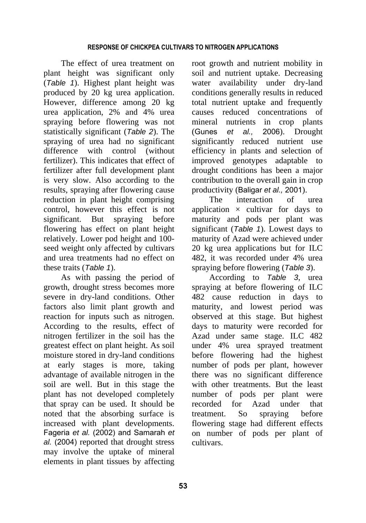The effect of urea treatment on plant height was significant only (*Table 1*). Highest plant height was produced by 20 kg urea application. However, difference among 20 kg urea application, 2% and 4% urea spraying before flowering was not statistically significant (*Table 2*). The spraying of urea had no significant difference with control (without fertilizer). This indicates that effect of fertilizer after full development plant is very slow. Also according to the results, spraying after flowering cause reduction in plant height comprising control, however this effect is not significant. But spraying before flowering has effect on plant height relatively. Lower pod height and 100 seed weight only affected by cultivars and urea treatments had no effect on these traits (*Table 1*).

As with passing the period of growth, drought stress becomes more severe in dry-land conditions. Other factors also limit plant growth and reaction for inputs such as nitrogen. According to the results, effect of nitrogen fertilizer in the soil has the greatest effect on plant height. As soil moisture stored in dry-land conditions at early stages is more, taking advantage of available nitrogen in the soil are well. But in this stage the plant has not developed completely that spray can be used. It should be noted that the absorbing surface is increased with plant developments. Fageria *et al.* (2002) and Samarah *et al.* (2004) reported that drought stress may involve the uptake of mineral elements in plant tissues by affecting

root growth and nutrient mobility in soil and nutrient uptake. Decreasing water availability under dry-land conditions generally results in reduced total nutrient uptake and frequently causes reduced concentrations of mineral nutrients in crop plants (Gunes *et al.,* 2006). Drought significantly reduced nutrient use efficiency in plants and selection of improved genotypes adaptable to drought conditions has been a major contribution to the overall gain in crop productivity (Baligar *et al.,* 2001).

The interaction of urea application  $\times$  cultivar for days to maturity and pods per plant was significant (*Table 1*). Lowest days to maturity of Azad were achieved under 20 kg urea applications but for ILC 482, it was recorded under 4% urea spraying before flowering (*Table 3*).

According to *Table 3*, urea spraying at before flowering of ILC 482 cause reduction in days to maturity, and lowest period was observed at this stage. But highest days to maturity were recorded for Azad under same stage. ILC 482 under 4% urea sprayed treatment before flowering had the highest number of pods per plant, however there was no significant difference with other treatments. But the least number of pods per plant were recorded for Azad under that treatment. So spraying before flowering stage had different effects on number of pods per plant of cultivars.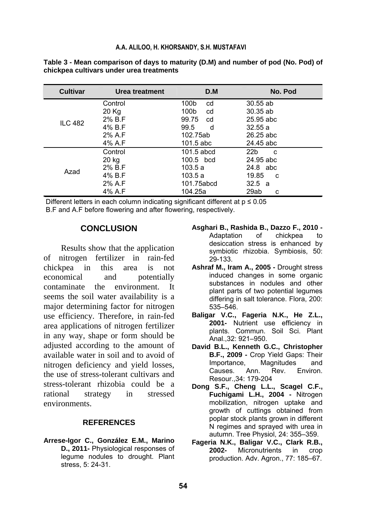| <b>Cultivar</b> | Urea treatment | D.M          | No. Pod              |
|-----------------|----------------|--------------|----------------------|
|                 | Control        | 100b<br>cd   | $30.55$ ab           |
|                 | 20 Kg          | 100b<br>cd   | $30.35$ ab           |
| <b>ILC 482</b>  | 2% B.F         | 99.75<br>cd  | 25.95 abc            |
|                 | 4% B.F         | 99.5<br>d    | 32.55a               |
|                 | 2% A.F         | 102.75ab     | $26.25$ abc          |
|                 | 4% A.F         | 101.5 abc    | 24.45 abc            |
|                 | Control        | $101.5$ abcd | 22 <sub>b</sub><br>C |
|                 | 20 kg          | $100.5$ bcd  | 24.95 abc            |
| Azad            | 2% B.F         | 103.5a       | 24.8 abc             |
|                 | 4% B.F         | 103.5a       | 19.85<br>C           |
|                 | 2% A.F         | 101.75abcd   | 32.5 a               |
|                 | 4% A.F         | 104.25a      | 29ab<br>c            |

**Table 3 - Mean comparison of days to maturity (D.M) and number of pod (No. Pod) of chickpea cultivars under urea treatments**

Different letters in each column indicating significant different at  $p \le 0.05$ B.F and A.F before flowering and after flowering, respectively.

### **CONCLUSION**

Results show that the application of nitrogen fertilizer in rain-fed chickpea in this area is not economical and potentially contaminate the environment. It seems the soil water availability is a major determining factor for nitrogen use efficiency. Therefore, in rain-fed area applications of nitrogen fertilizer in any way, shape or form should be adjusted according to the amount of available water in soil and to avoid of nitrogen deficiency and yield losses, the use of stress-tolerant cultivars and stress-tolerant rhizobia could be a rational strategy in stressed environments.

### **REFERENCES**

**Arrese-Igor C., González E.M., Marino D., 2011-** Physiological responses of legume nodules to drought. Plant stress, 5: 24-31.

- **Asghari B., Rashida B., Dazzo F., 2010**  Adaptation of chickpea to desiccation stress is enhanced by symbiotic rhizobia. Symbiosis, 50: 29-133.
- **Ashraf M., Iram A., 2005** Drought stress induced changes in some organic substances in nodules and other plant parts of two potential legumes differing in salt tolerance. Flora, 200: 535–546.
- **Baligar V.C., Fageria N.K., He Z.L., 2001-** Nutrient use efficiency in plants. Commun. Soil Sci. Plant Anal.,32: 921–950.
- **David B.L., Kenneth G.C., Christopher B.F., 2009 -** Crop Yield Gaps: Their Importance, Magnitudes and Causes. Ann. Rev. Environ. Resour.,34: 179-204
- **Dong S.F., Cheng L.L., Scagel C.F., Fuchigami L.H., 2004 -** Nitrogen mobilization, nitrogen uptake and growth of cuttings obtained from poplar stock plants grown in different N regimes and sprayed with urea in autumn. Tree Physiol, 24: 355–359.
- **Fageria N.K., Baligar V.C., Clark R.B., 2002-** Micronutrients in crop production. Adv. Agron., 77: 185–67.